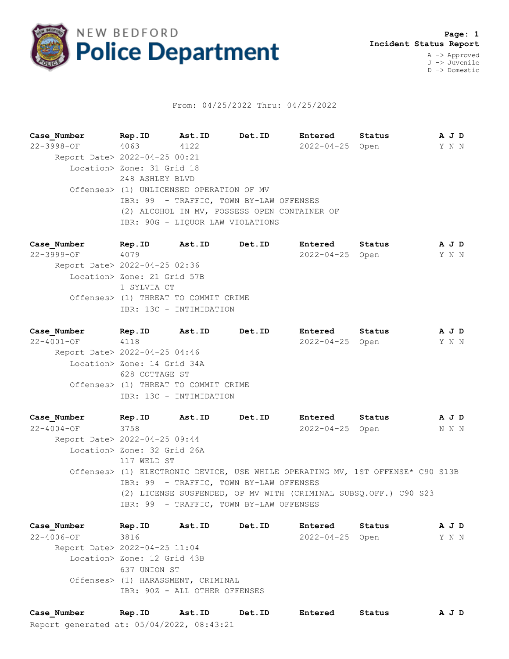

## From: 04/25/2022 Thru: 04/25/2022

**Case\_Number Rep.ID Ast.ID Det.ID Entered Status A J D** 22-3998-OF 4063 4122 2022-04-25 Open Y N N Report Date> 2022-04-25 00:21 Location> Zone: 31 Grid 18 248 ASHLEY BLVD Offenses> (1) UNLICENSED OPERATION OF MV IBR: 99 - TRAFFIC, TOWN BY-LAW OFFENSES (2) ALCOHOL IN MV, POSSESS OPEN CONTAINER OF IBR: 90G - LIQUOR LAW VIOLATIONS

**Case\_Number Rep.ID Ast.ID Det.ID Entered Status A J D** 22-3999-OF 4079 2022-04-25 Open Y N N Report Date> 2022-04-25 02:36 Location> Zone: 21 Grid 57B 1 SYLVIA CT Offenses> (1) THREAT TO COMMIT CRIME IBR: 13C - INTIMIDATION

**Case\_Number Rep.ID Ast.ID Det.ID Entered Status A J D** 22-4001-OF 4118 2022-04-25 Open Y N N Report Date> 2022-04-25 04:46 Location> Zone: 14 Grid 34A 628 COTTAGE ST Offenses> (1) THREAT TO COMMIT CRIME IBR: 13C - INTIMIDATION

**Case\_Number Rep.ID Ast.ID Det.ID Entered Status A J D** 22-4004-OF 3758 2022-04-25 Open N N N Report Date> 2022-04-25 09:44 Location> Zone: 32 Grid 26A 117 WELD ST Offenses> (1) ELECTRONIC DEVICE, USE WHILE OPERATING MV, 1ST OFFENSE\* C90 S13B IBR: 99 - TRAFFIC, TOWN BY-LAW OFFENSES (2) LICENSE SUSPENDED, OP MV WITH (CRIMINAL SUBSQ.OFF.) C90 S23 IBR: 99 - TRAFFIC, TOWN BY-LAW OFFENSES

**Case\_Number Rep.ID Ast.ID Det.ID Entered Status A J D** 22-4006-OF 3816 2022-04-25 Open Y N N Report Date> 2022-04-25 11:04 Location> Zone: 12 Grid 43B 637 UNION ST Offenses> (1) HARASSMENT, CRIMINAL IBR: 90Z - ALL OTHER OFFENSES

Report generated at: 05/04/2022, 08:43:21 **Case\_Number Rep.ID Ast.ID Det.ID Entered Status A J D**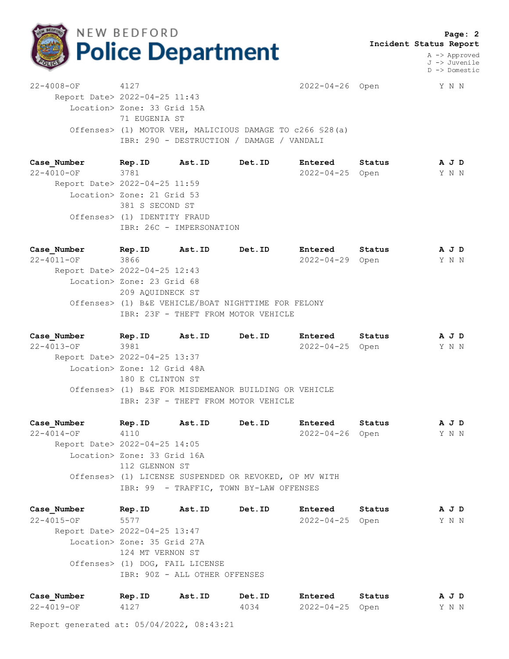

 **Page: 2 Incident Status Report**

> A -> Approved J -> Juvenile D -> Domestic

22-4008-OF 4127 2022-04-26 Open Y N N Report Date> 2022-04-25 11:43 Location> Zone: 33 Grid 15A 71 EUGENIA ST Offenses> (1) MOTOR VEH, MALICIOUS DAMAGE TO c266 §28(a) IBR: 290 - DESTRUCTION / DAMAGE / VANDALI

**Case\_Number Rep.ID Ast.ID Det.ID Entered Status A J D** 22-4010-OF 3781 2022-04-25 Open Y N N Report Date> 2022-04-25 11:59 Location> Zone: 21 Grid 53 381 S SECOND ST Offenses> (1) IDENTITY FRAUD IBR: 26C - IMPERSONATION

**Case\_Number Rep.ID Ast.ID Det.ID Entered Status A J D** 22-4011-OF 3866 2022-04-29 Open Y N N Report Date> 2022-04-25 12:43 Location> Zone: 23 Grid 68 209 AQUIDNECK ST Offenses> (1) B&E VEHICLE/BOAT NIGHTTIME FOR FELONY IBR: 23F - THEFT FROM MOTOR VEHICLE

**Case\_Number Rep.ID Ast.ID Det.ID Entered Status A J D** 22-4013-OF 3981 2022-04-25 Open Y N N Report Date> 2022-04-25 13:37 Location> Zone: 12 Grid 48A 180 E CLINTON ST Offenses> (1) B&E FOR MISDEMEANOR BUILDING OR VEHICLE IBR: 23F - THEFT FROM MOTOR VEHICLE

**Case\_Number Rep.ID Ast.ID Det.ID Entered Status A J D** 22-4014-OF 4110 2022-04-26 Open Y N N Report Date> 2022-04-25 14:05 Location> Zone: 33 Grid 16A 112 GLENNON ST Offenses> (1) LICENSE SUSPENDED OR REVOKED, OP MV WITH IBR: 99 - TRAFFIC, TOWN BY-LAW OFFENSES

**Case\_Number Rep.ID Ast.ID Det.ID Entered Status A J D** 22-4015-OF 5577 2022-04-25 Open Y N N Report Date> 2022-04-25 13:47 Location> Zone: 35 Grid 27A 124 MT VERNON ST Offenses> (1) DOG, FAIL LICENSE IBR: 90Z - ALL OTHER OFFENSES

| Case Number | Rep.ID | Ast.ID | Det.ID | Entered         | Status | AJD   |  |
|-------------|--------|--------|--------|-----------------|--------|-------|--|
| 22-4019-OF  |        |        | 4034   | 2022-04-25 Open |        | Y N N |  |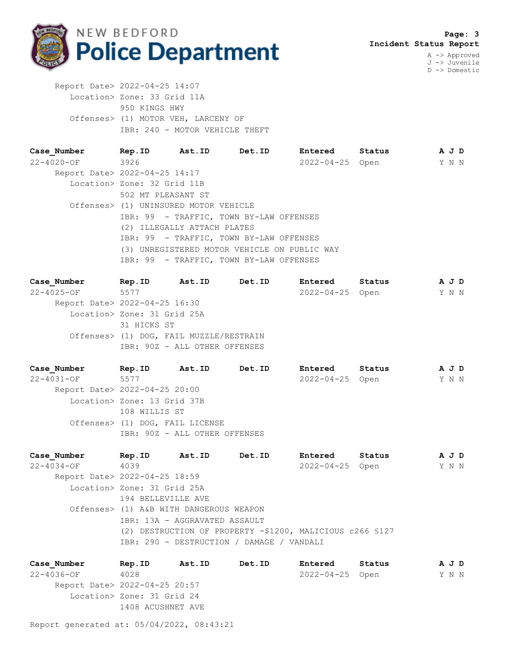

J -> Juvenile D -> Domestic

 Report Date> 2022-04-25 14:07 Location> Zone: 33 Grid 11A 950 KINGS HWY Offenses> (1) MOTOR VEH, LARCENY OF IBR: 240 - MOTOR VEHICLE THEFT

| Case Number                   | Rep.ID                                | Ast.ID Det.ID                                | <b>Entered</b>        | Status | A J D |  |
|-------------------------------|---------------------------------------|----------------------------------------------|-----------------------|--------|-------|--|
| $22 - 4020 - OF$ 3926         |                                       |                                              | $2022 - 04 - 25$ Open |        | Y N N |  |
| Report Date> 2022-04-25 14:17 |                                       |                                              |                       |        |       |  |
|                               | Location> Zone: 32 Grid 11B           |                                              |                       |        |       |  |
|                               | 502 MT PLEASANT ST                    |                                              |                       |        |       |  |
|                               | Offenses> (1) UNINSURED MOTOR VEHICLE |                                              |                       |        |       |  |
|                               |                                       | IBR: 99 - TRAFFIC, TOWN BY-LAW OFFENSES      |                       |        |       |  |
|                               | (2) ILLEGALLY ATTACH PLATES           |                                              |                       |        |       |  |
|                               |                                       | IBR: 99 - TRAFFIC, TOWN BY-LAW OFFENSES      |                       |        |       |  |
|                               |                                       | (3) UNREGISTERED MOTOR VEHICLE ON PUBLIC WAY |                       |        |       |  |
|                               |                                       | IBR: 99 - TRAFFIC, TOWN BY-LAW OFFENSES      |                       |        |       |  |

**Case\_Number Rep.ID Ast.ID Det.ID Entered Status A J D** 22-4025-OF 5577 2022-04-25 Open Y N N Report Date> 2022-04-25 16:30 Location> Zone: 31 Grid 25A 31 HICKS ST Offenses> (1) DOG, FAIL MUZZLE/RESTRAIN IBR: 90Z - ALL OTHER OFFENSES

**Case\_Number Rep.ID Ast.ID Det.ID Entered Status A J D** 22-4031-OF 5577 2022-04-25 Open Y N N Report Date> 2022-04-25 20:00 Location> Zone: 13 Grid 37B 108 WILLIS ST Offenses> (1) DOG, FAIL LICENSE IBR: 90Z - ALL OTHER OFFENSES

**Case\_Number Rep.ID Ast.ID Det.ID Entered Status A J D** 22-4034-OF 4039 2022-04-25 Open Y N N Report Date> 2022-04-25 18:59 Location> Zone: 31 Grid 25A 194 BELLEVILLE AVE Offenses> (1) A&B WITH DANGEROUS WEAPON IBR: 13A - AGGRAVATED ASSAULT (2) DESTRUCTION OF PROPERTY -\$1200, MALICIOUS c266 §127 IBR: 290 - DESTRUCTION / DAMAGE / VANDALI

**Case\_Number Rep.ID Ast.ID Det.ID Entered Status A J D** 22-4036-OF 4028 2022-04-25 Open Y N N Report Date> 2022-04-25 20:57 Location> Zone: 31 Grid 24 1408 ACUSHNET AVE

Report generated at: 05/04/2022, 08:43:21